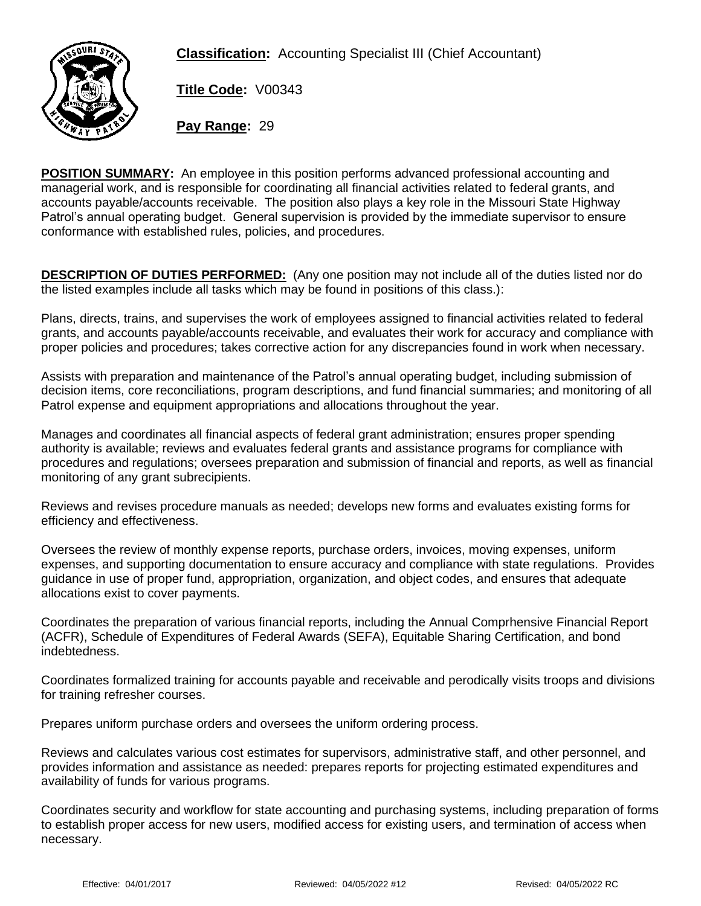**Classification:** Accounting Specialist III (Chief Accountant)



**Title Code:** V00343

**Pay Range:** 29

**POSITION SUMMARY:** An employee in this position performs advanced professional accounting and managerial work, and is responsible for coordinating all financial activities related to federal grants, and accounts payable/accounts receivable. The position also plays a key role in the Missouri State Highway Patrol's annual operating budget. General supervision is provided by the immediate supervisor to ensure conformance with established rules, policies, and procedures.

**DESCRIPTION OF DUTIES PERFORMED:** (Any one position may not include all of the duties listed nor do the listed examples include all tasks which may be found in positions of this class.):

Plans, directs, trains, and supervises the work of employees assigned to financial activities related to federal grants, and accounts payable/accounts receivable, and evaluates their work for accuracy and compliance with proper policies and procedures; takes corrective action for any discrepancies found in work when necessary.

Assists with preparation and maintenance of the Patrol's annual operating budget, including submission of decision items, core reconciliations, program descriptions, and fund financial summaries; and monitoring of all Patrol expense and equipment appropriations and allocations throughout the year.

Manages and coordinates all financial aspects of federal grant administration; ensures proper spending authority is available; reviews and evaluates federal grants and assistance programs for compliance with procedures and regulations; oversees preparation and submission of financial and reports, as well as financial monitoring of any grant subrecipients.

Reviews and revises procedure manuals as needed; develops new forms and evaluates existing forms for efficiency and effectiveness.

Oversees the review of monthly expense reports, purchase orders, invoices, moving expenses, uniform expenses, and supporting documentation to ensure accuracy and compliance with state regulations. Provides guidance in use of proper fund, appropriation, organization, and object codes, and ensures that adequate allocations exist to cover payments.

Coordinates the preparation of various financial reports, including the Annual Comprhensive Financial Report (ACFR), Schedule of Expenditures of Federal Awards (SEFA), Equitable Sharing Certification, and bond indebtedness.

Coordinates formalized training for accounts payable and receivable and perodically visits troops and divisions for training refresher courses.

Prepares uniform purchase orders and oversees the uniform ordering process.

Reviews and calculates various cost estimates for supervisors, administrative staff, and other personnel, and provides information and assistance as needed: prepares reports for projecting estimated expenditures and availability of funds for various programs.

Coordinates security and workflow for state accounting and purchasing systems, including preparation of forms to establish proper access for new users, modified access for existing users, and termination of access when necessary.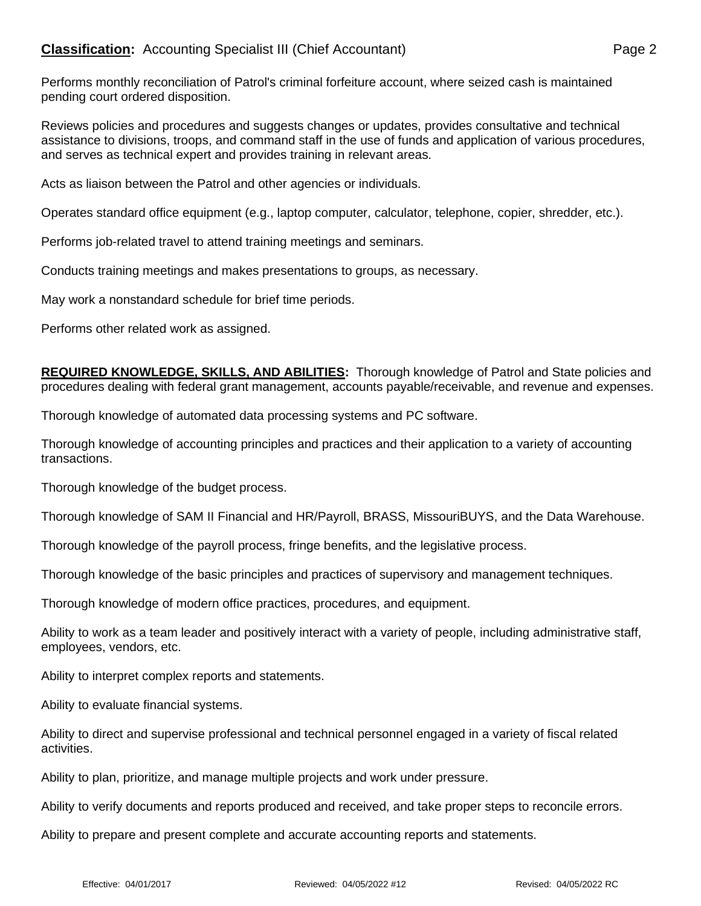Performs monthly reconciliation of Patrol's criminal forfeiture account, where seized cash is maintained pending court ordered disposition.

Reviews policies and procedures and suggests changes or updates, provides consultative and technical assistance to divisions, troops, and command staff in the use of funds and application of various procedures, and serves as technical expert and provides training in relevant areas.

Acts as liaison between the Patrol and other agencies or individuals.

Operates standard office equipment (e.g., laptop computer, calculator, telephone, copier, shredder, etc.).

Performs job-related travel to attend training meetings and seminars.

Conducts training meetings and makes presentations to groups, as necessary.

May work a nonstandard schedule for brief time periods.

Performs other related work as assigned.

**REQUIRED KNOWLEDGE, SKILLS, AND ABILITIES:** Thorough knowledge of Patrol and State policies and procedures dealing with federal grant management, accounts payable/receivable, and revenue and expenses.

Thorough knowledge of automated data processing systems and PC software.

Thorough knowledge of accounting principles and practices and their application to a variety of accounting transactions.

Thorough knowledge of the budget process.

Thorough knowledge of SAM II Financial and HR/Payroll, BRASS, MissouriBUYS, and the Data Warehouse.

Thorough knowledge of the payroll process, fringe benefits, and the legislative process.

Thorough knowledge of the basic principles and practices of supervisory and management techniques.

Thorough knowledge of modern office practices, procedures, and equipment.

Ability to work as a team leader and positively interact with a variety of people, including administrative staff, employees, vendors, etc.

Ability to interpret complex reports and statements.

Ability to evaluate financial systems.

Ability to direct and supervise professional and technical personnel engaged in a variety of fiscal related activities.

Ability to plan, prioritize, and manage multiple projects and work under pressure.

Ability to verify documents and reports produced and received, and take proper steps to reconcile errors.

Ability to prepare and present complete and accurate accounting reports and statements.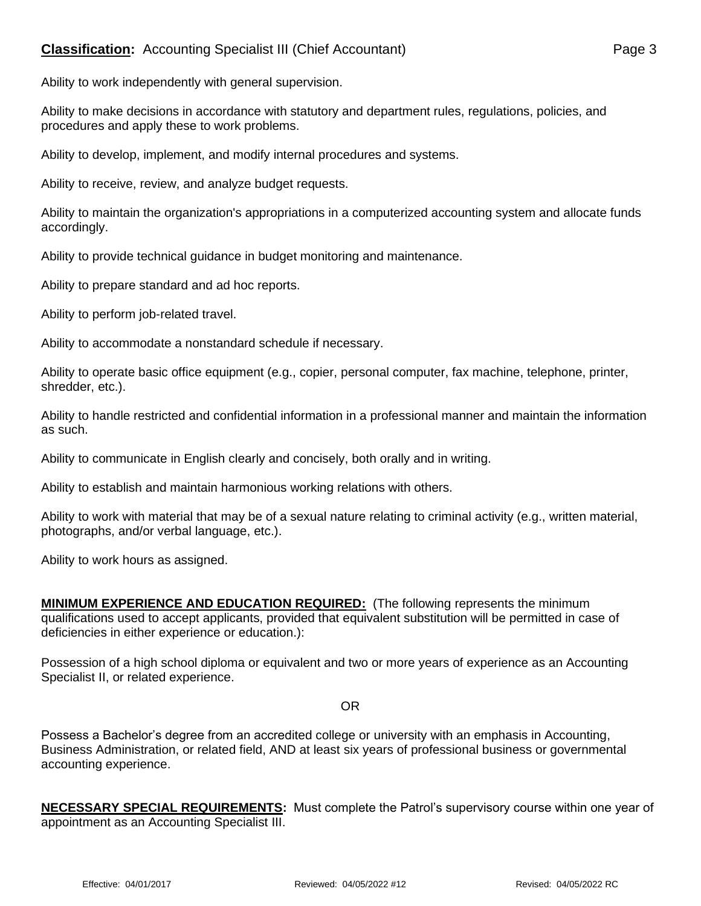Ability to work independently with general supervision.

Ability to make decisions in accordance with statutory and department rules, regulations, policies, and procedures and apply these to work problems.

Ability to develop, implement, and modify internal procedures and systems.

Ability to receive, review, and analyze budget requests.

Ability to maintain the organization's appropriations in a computerized accounting system and allocate funds accordingly.

Ability to provide technical guidance in budget monitoring and maintenance.

Ability to prepare standard and ad hoc reports.

Ability to perform job-related travel.

Ability to accommodate a nonstandard schedule if necessary.

Ability to operate basic office equipment (e.g., copier, personal computer, fax machine, telephone, printer, shredder, etc.).

Ability to handle restricted and confidential information in a professional manner and maintain the information as such.

Ability to communicate in English clearly and concisely, both orally and in writing.

Ability to establish and maintain harmonious working relations with others.

Ability to work with material that may be of a sexual nature relating to criminal activity (e.g., written material, photographs, and/or verbal language, etc.).

Ability to work hours as assigned.

**MINIMUM EXPERIENCE AND EDUCATION REQUIRED:** (The following represents the minimum qualifications used to accept applicants, provided that equivalent substitution will be permitted in case of deficiencies in either experience or education.):

Possession of a high school diploma or equivalent and two or more years of experience as an Accounting Specialist II, or related experience.

## OR

Possess a Bachelor's degree from an accredited college or university with an emphasis in Accounting, Business Administration, or related field, AND at least six years of professional business or governmental accounting experience.

**NECESSARY SPECIAL REQUIREMENTS:** Must complete the Patrol's supervisory course within one year of appointment as an Accounting Specialist III.